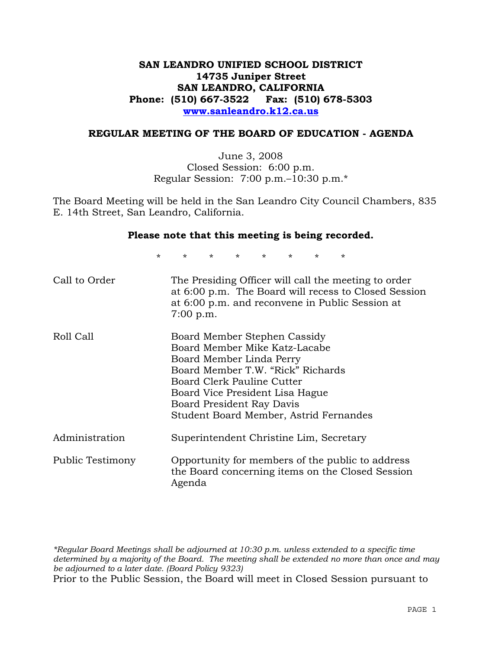## **SAN LEANDRO UNIFIED SCHOOL DISTRICT 14735 Juniper Street SAN LEANDRO, CALIFORNIA Phone: (510) 667-3522 Fax: (510) 678-5303 www.sanleandro.k12.ca.us**

### **REGULAR MEETING OF THE BOARD OF EDUCATION - AGENDA**

June 3, 2008 Closed Session: 6:00 p.m. Regular Session: 7:00 p.m.–10:30 p.m.\*

The Board Meeting will be held in the San Leandro City Council Chambers, 835 E. 14th Street, San Leandro, California.

#### **Please note that this meeting is being recorded.**

\* \* \* \* \* \* \* \*

| Call to Order    | The Presiding Officer will call the meeting to order<br>at 6:00 p.m. The Board will recess to Closed Session<br>at 6:00 p.m. and reconvene in Public Session at<br>$7:00$ p.m.                                                                                         |
|------------------|------------------------------------------------------------------------------------------------------------------------------------------------------------------------------------------------------------------------------------------------------------------------|
| Roll Call        | Board Member Stephen Cassidy<br>Board Member Mike Katz-Lacabe<br>Board Member Linda Perry<br>Board Member T.W. "Rick" Richards<br>Board Clerk Pauline Cutter<br>Board Vice President Lisa Hague<br>Board President Ray Davis<br>Student Board Member, Astrid Fernandes |
| Administration   | Superintendent Christine Lim, Secretary                                                                                                                                                                                                                                |
| Public Testimony | Opportunity for members of the public to address<br>the Board concerning items on the Closed Session<br>Agenda                                                                                                                                                         |

*\*Regular Board Meetings shall be adjourned at 10:30 p.m. unless extended to a specific time determined by a majority of the Board. The meeting shall be extended no more than once and may be adjourned to a later date. (Board Policy 9323)*  Prior to the Public Session, the Board will meet in Closed Session pursuant to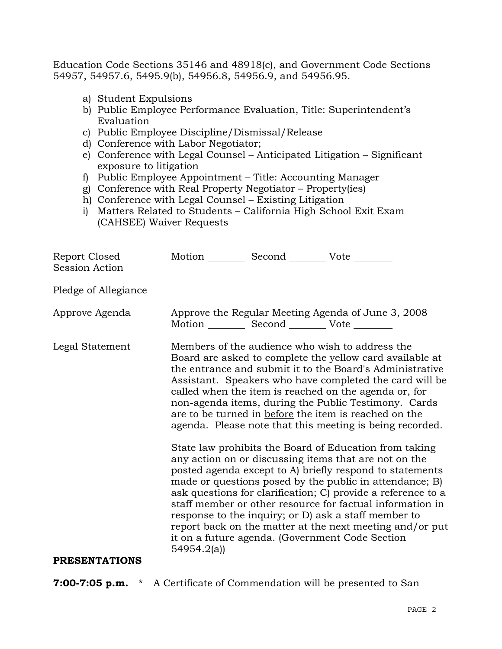Education Code Sections 35146 and 48918(c), and Government Code Sections 54957, 54957.6, 5495.9(b), 54956.8, 54956.9, and 54956.95.

- a) Student Expulsions
- b) Public Employee Performance Evaluation, Title: Superintendent's Evaluation
- c) Public Employee Discipline/Dismissal/Release
- d) Conference with Labor Negotiator;
- e) Conference with Legal Counsel Anticipated Litigation Significant exposure to litigation
- f) Public Employee Appointment Title: Accounting Manager
- g) Conference with Real Property Negotiator Property(ies)
- h) Conference with Legal Counsel Existing Litigation
- i) Matters Related to Students California High School Exit Exam (CAHSEE) Waiver Requests

| Report Closed<br>Session Action | Motion __________ Second __________ Vote ________ |                                                                                                                                                                                                                                                                                                                                                                                                                                                                                                                                                                                                                                                                                                                                                                                                                                                                                                                                                                                                                        |
|---------------------------------|---------------------------------------------------|------------------------------------------------------------------------------------------------------------------------------------------------------------------------------------------------------------------------------------------------------------------------------------------------------------------------------------------------------------------------------------------------------------------------------------------------------------------------------------------------------------------------------------------------------------------------------------------------------------------------------------------------------------------------------------------------------------------------------------------------------------------------------------------------------------------------------------------------------------------------------------------------------------------------------------------------------------------------------------------------------------------------|
| Pledge of Allegiance            |                                                   |                                                                                                                                                                                                                                                                                                                                                                                                                                                                                                                                                                                                                                                                                                                                                                                                                                                                                                                                                                                                                        |
| Approve Agenda                  | Motion __________ Second __________ Vote ________ | Approve the Regular Meeting Agenda of June 3, 2008                                                                                                                                                                                                                                                                                                                                                                                                                                                                                                                                                                                                                                                                                                                                                                                                                                                                                                                                                                     |
| Legal Statement                 | 54954.2(a)                                        | Members of the audience who wish to address the<br>Board are asked to complete the yellow card available at<br>the entrance and submit it to the Board's Administrative<br>Assistant. Speakers who have completed the card will be<br>called when the item is reached on the agenda or, for<br>non-agenda items, during the Public Testimony. Cards<br>are to be turned in before the item is reached on the<br>agenda. Please note that this meeting is being recorded.<br>State law prohibits the Board of Education from taking<br>any action on or discussing items that are not on the<br>posted agenda except to A) briefly respond to statements<br>made or questions posed by the public in attendance; B)<br>ask questions for clarification; C) provide a reference to a<br>staff member or other resource for factual information in<br>response to the inquiry; or D) ask a staff member to<br>report back on the matter at the next meeting and/or put<br>it on a future agenda. (Government Code Section |
| <b>PRESENTATIONS</b>            |                                                   |                                                                                                                                                                                                                                                                                                                                                                                                                                                                                                                                                                                                                                                                                                                                                                                                                                                                                                                                                                                                                        |

# **7:00-7:05 p.m.** \* A Certificate of Commendation will be presented to San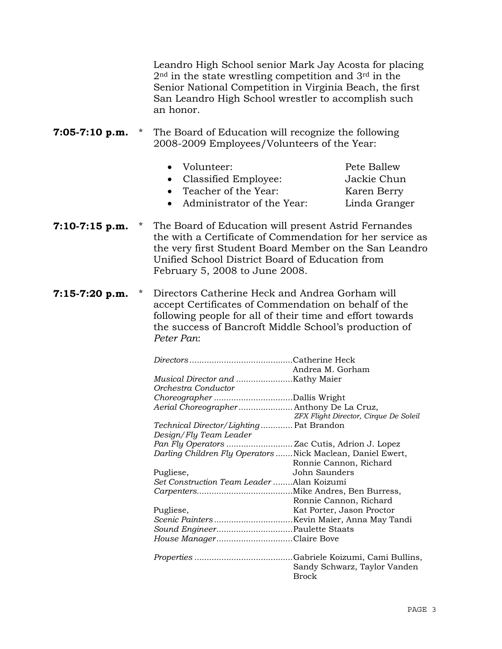Leandro High School senior Mark Jay Acosta for placing  $2<sup>nd</sup>$  in the state wrestling competition and  $3<sup>rd</sup>$  in the Senior National Competition in Virginia Beach, the first San Leandro High School wrestler to accomplish such an honor.

**7:05-7:10 p.m.** \* The Board of Education will recognize the following 2008-2009 Employees/Volunteers of the Year:

| • Volunteer:<br>• Classified Employee: | Pete Ballew<br>Jackie Chun |
|----------------------------------------|----------------------------|
| • Teacher of the Year:                 | Karen Berry                |
| Administrator of the Year:             | Linda Granger              |

- **7:10-7:15 p.m.** \* The Board of Education will present Astrid Fernandes the with a Certificate of Commendation for her service as the very first Student Board Member on the San Leandro Unified School District Board of Education from February 5, 2008 to June 2008.
- **7:15-7:20 p.m.** \* Directors Catherine Heck and Andrea Gorham will accept Certificates of Commendation on behalf of the following people for all of their time and effort towards the success of Bancroft Middle School's production of *Peter Pan*:

|                                           | Andrea M. Gorham                                            |
|-------------------------------------------|-------------------------------------------------------------|
|                                           |                                                             |
| Orchestra Conductor                       |                                                             |
|                                           |                                                             |
| Aerial Choreographer Anthony De La Cruz,  |                                                             |
|                                           | ZFX Flight Director, Cirque De Soleil                       |
| Technical Director/Lighting Pat Brandon   |                                                             |
| Design/Fly Team Leader                    |                                                             |
|                                           |                                                             |
|                                           | Darling Children Fly Operators  Nick Maclean, Daniel Ewert, |
|                                           | Ronnie Cannon, Richard                                      |
| Pugliese,                                 | John Saunders                                               |
| Set Construction Team Leader Alan Koizumi |                                                             |
|                                           |                                                             |
|                                           | Ronnie Cannon, Richard                                      |
| Pugliese,                                 | Kat Porter, Jason Proctor                                   |
|                                           |                                                             |
|                                           |                                                             |
| House ManagerClaire Bove                  |                                                             |
|                                           |                                                             |
|                                           | Sandy Schwarz, Taylor Vanden<br><b>Brock</b>                |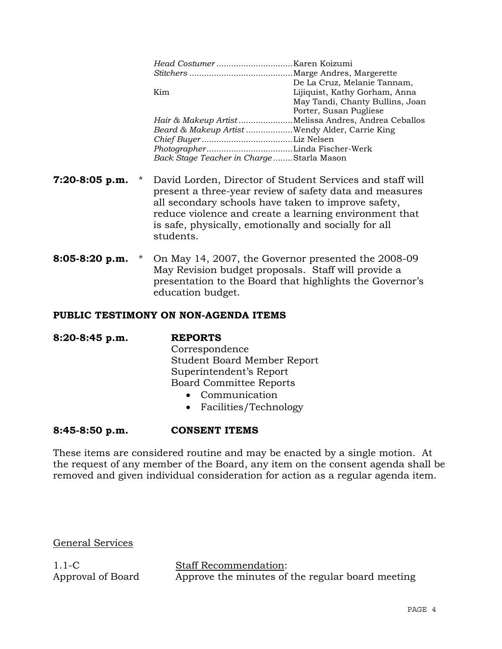|                                          | De La Cruz, Melanie Tannam,                         |
|------------------------------------------|-----------------------------------------------------|
| Kim                                      | Lijiquist, Kathy Gorham, Anna                       |
|                                          | May Tandi, Chanty Bullins, Joan                     |
|                                          | Porter, Susan Pugliese                              |
|                                          | Hair & Makeup ArtistMelissa Andres, Andrea Ceballos |
|                                          | Beard & Makeup Artist Wendy Alder, Carrie King      |
|                                          |                                                     |
|                                          |                                                     |
| Back Stage Teacher in ChargeStarla Mason |                                                     |
|                                          |                                                     |
|                                          |                                                     |

- **7:20-8:05 p.m.** \* David Lorden, Director of Student Services and staff will present a three-year review of safety data and measures all secondary schools have taken to improve safety, reduce violence and create a learning environment that is safe, physically, emotionally and socially for all students.
- **8:05-8:20 p.m.** \* On May 14, 2007, the Governor presented the 2008-09 May Revision budget proposals. Staff will provide a presentation to the Board that highlights the Governor's education budget.

### **PUBLIC TESTIMONY ON NON-AGENDA ITEMS**

**8:20-8:45 p.m. REPORTS** Correspondence

 Student Board Member Report Superintendent's Report Board Committee Reports

- Communication
- Facilities/Technology

## **8:45-8:50 p.m. CONSENT ITEMS**

These items are considered routine and may be enacted by a single motion. At the request of any member of the Board, any item on the consent agenda shall be removed and given individual consideration for action as a regular agenda item.

General Services

1.1-C Approval of Board Staff Recommendation: Approve the minutes of the regular board meeting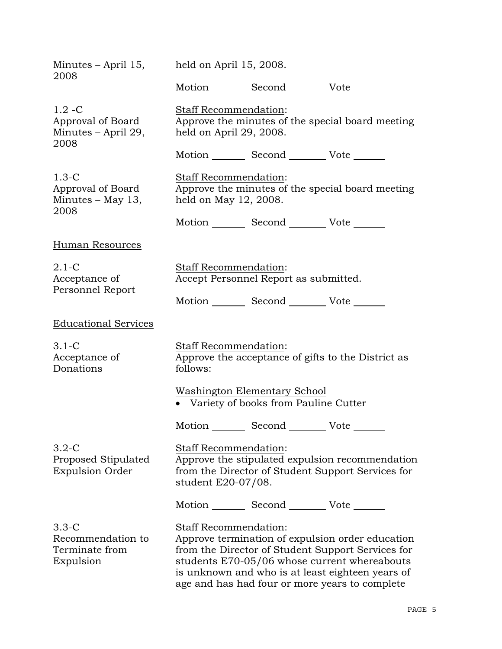| Minutes – April 15,<br>2008                                   | held on April 15, 2008.                                                                                                                                                                                                                                                                     |  |  |
|---------------------------------------------------------------|---------------------------------------------------------------------------------------------------------------------------------------------------------------------------------------------------------------------------------------------------------------------------------------------|--|--|
|                                                               | Motion _________ Second __________ Vote _______                                                                                                                                                                                                                                             |  |  |
| $1.2 - C$<br>Approval of Board<br>Minutes – April 29,<br>2008 | <b>Staff Recommendation:</b><br>Approve the minutes of the special board meeting<br>held on April 29, 2008.                                                                                                                                                                                 |  |  |
|                                                               | Motion _________ Second ___________ Vote _______                                                                                                                                                                                                                                            |  |  |
| $1.3-C$<br>Approval of Board<br>Minutes $-$ May 13,<br>2008   | Staff Recommendation:<br>Approve the minutes of the special board meeting<br>held on May 12, 2008.                                                                                                                                                                                          |  |  |
|                                                               | Motion _________ Second ___________ Vote _______                                                                                                                                                                                                                                            |  |  |
| <b>Human Resources</b>                                        |                                                                                                                                                                                                                                                                                             |  |  |
| $2.1-C$<br>Acceptance of<br>Personnel Report                  | <b>Staff Recommendation:</b><br>Accept Personnel Report as submitted.                                                                                                                                                                                                                       |  |  |
|                                                               | Motion _________ Second __________ Vote _______                                                                                                                                                                                                                                             |  |  |
| <b>Educational Services</b>                                   |                                                                                                                                                                                                                                                                                             |  |  |
| $3.1-C$<br>Acceptance of<br>Donations                         | <b>Staff Recommendation:</b><br>Approve the acceptance of gifts to the District as<br>follows:                                                                                                                                                                                              |  |  |
|                                                               | <b>Washington Elementary School</b><br>• Variety of books from Pauline Cutter                                                                                                                                                                                                               |  |  |
|                                                               | Motion _________ Second _________ Vote _______                                                                                                                                                                                                                                              |  |  |
| $3.2-C$<br>Proposed Stipulated<br><b>Expulsion Order</b>      | <b>Staff Recommendation:</b><br>Approve the stipulated expulsion recommendation<br>from the Director of Student Support Services for<br>student E20-07/08.                                                                                                                                  |  |  |
|                                                               | Motion _________ Second __________ Vote _______                                                                                                                                                                                                                                             |  |  |
| $3.3 - C$<br>Recommendation to<br>Terminate from<br>Expulsion | <b>Staff Recommendation:</b><br>Approve termination of expulsion order education<br>from the Director of Student Support Services for<br>students E70-05/06 whose current whereabouts<br>is unknown and who is at least eighteen years of<br>age and has had four or more years to complete |  |  |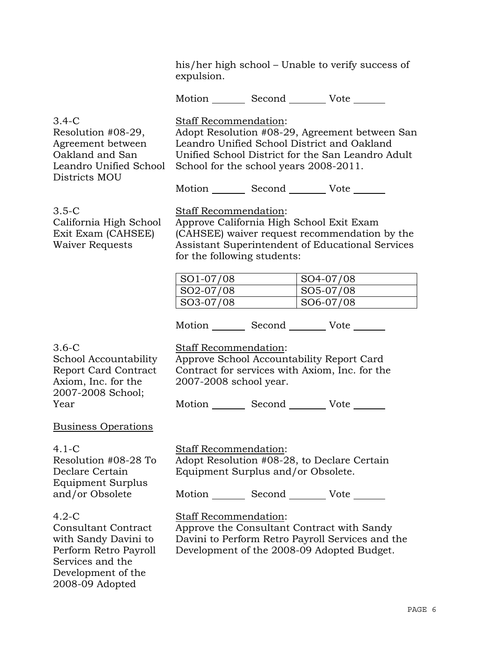his/her high school – Unable to verify success of expulsion. Motion Second Vote 3.4-C Resolution #08-29, Agreement between Oakland and San Leandro Unified School Districts MOU Staff Recommendation: Adopt Resolution #08-29, Agreement between San Leandro Unified School District and Oakland Unified School District for the San Leandro Adult School for the school years 2008-2011. Motion Second Vote \_\_\_\_\_\_ 3.5-C California High School Exit Exam (CAHSEE) Waiver Requests Staff Recommendation: Approve California High School Exit Exam (CAHSEE) waiver request recommendation by the Assistant Superintendent of Educational Services for the following students: SO1-07/08 SO4-07/08 SO2-07/08 SO5-07/08 SO3-07/08 SO6-07/08 Motion Second Vote 3.6-C School Accountability Report Card Contract Axiom, Inc. for the 2007-2008 School; Year Staff Recommendation: Approve School Accountability Report Card Contract for services with Axiom, Inc. for the 2007-2008 school year. Motion Second Vote Business Operations 4.1-C Resolution #08-28 To Declare Certain Equipment Surplus and/or Obsolete Staff Recommendation: Adopt Resolution #08-28, to Declare Certain Equipment Surplus and/or Obsolete. Motion Second Vote 4.2-C Consultant Contract with Sandy Davini to Perform Retro Payroll Services and the Development of the Staff Recommendation: Approve the Consultant Contract with Sandy Davini to Perform Retro Payroll Services and the Development of the 2008-09 Adopted Budget.

2008-09 Adopted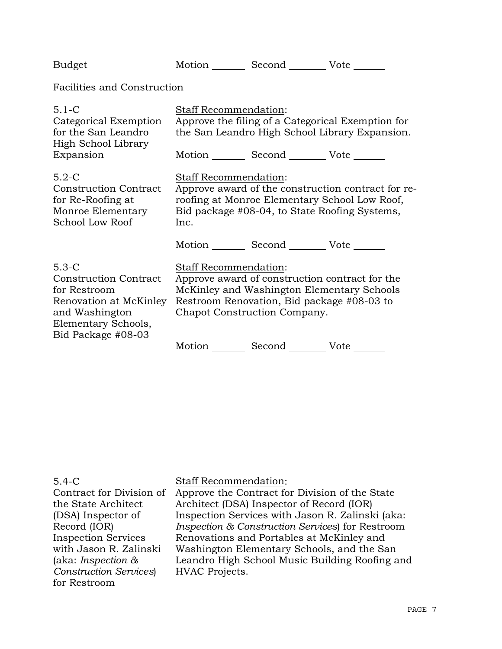| <b>Budget</b>                                                                                                                                    |                                                                                                                                                                                              | Motion _________ Second __________ Vote _______                            |                                                                                                     |
|--------------------------------------------------------------------------------------------------------------------------------------------------|----------------------------------------------------------------------------------------------------------------------------------------------------------------------------------------------|----------------------------------------------------------------------------|-----------------------------------------------------------------------------------------------------|
| <b>Facilities and Construction</b>                                                                                                               |                                                                                                                                                                                              |                                                                            |                                                                                                     |
| $5.1 - C$<br>Categorical Exemption<br>for the San Leandro<br>High School Library                                                                 | <b>Staff Recommendation:</b>                                                                                                                                                                 | Motion Second Vote ______                                                  | Approve the filing of a Categorical Exemption for<br>the San Leandro High School Library Expansion. |
| Expansion                                                                                                                                        |                                                                                                                                                                                              |                                                                            |                                                                                                     |
| $5.2-C$<br><b>Construction Contract</b><br>for Re-Roofing at<br>Monroe Elementary<br>School Low Roof                                             | <b>Staff Recommendation:</b><br>Approve award of the construction contract for re-<br>roofing at Monroe Elementary School Low Roof,<br>Bid package #08-04, to State Roofing Systems,<br>Inc. |                                                                            |                                                                                                     |
|                                                                                                                                                  |                                                                                                                                                                                              | Motion Second Vote ______                                                  |                                                                                                     |
| $5.3-C$<br><b>Construction Contract</b><br>for Restroom<br>Renovation at McKinley<br>and Washington<br>Elementary Schools,<br>Bid Package #08-03 | Staff Recommendation:                                                                                                                                                                        | Restroom Renovation, Bid package #08-03 to<br>Chapot Construction Company. | Approve award of construction contract for the<br>McKinley and Washington Elementary Schools        |
|                                                                                                                                                  | Motion _______                                                                                                                                                                               | Second _________ Vote _______                                              |                                                                                                     |

| $5.4 - C$                                   | <b>Staff Recommendation:</b>                     |
|---------------------------------------------|--------------------------------------------------|
| Contract for Division of                    | Approve the Contract for Division of the State   |
| the State Architect                         | Architect (DSA) Inspector of Record (IOR)        |
| (DSA) Inspector of                          | Inspection Services with Jason R. Zalinski (aka: |
| Record (IOR)                                | Inspection & Construction Services) for Restroom |
| <b>Inspection Services</b>                  | Renovations and Portables at McKinley and        |
| with Jason R. Zalinski                      | Washington Elementary Schools, and the San       |
| (aka: <i>Inspection <math>\&amp;</math></i> | Leandro High School Music Building Roofing and   |
| <b>Construction Services</b>                | HVAC Projects.                                   |
| for Restroom                                |                                                  |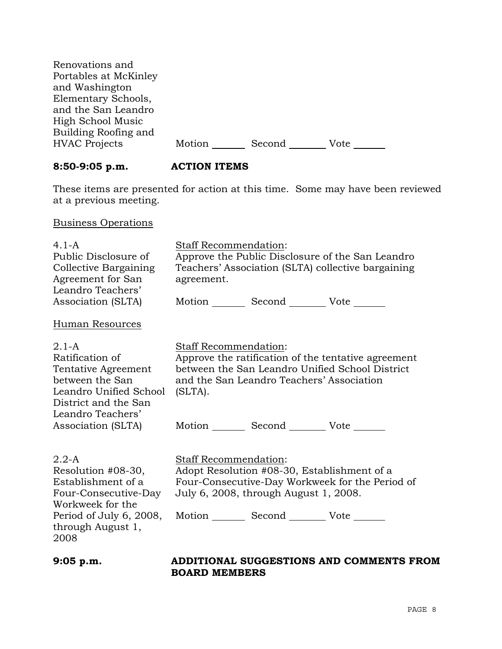| Renovations and       |        |        |      |
|-----------------------|--------|--------|------|
| Portables at McKinley |        |        |      |
| and Washington        |        |        |      |
| Elementary Schools,   |        |        |      |
| and the San Leandro   |        |        |      |
| High School Music     |        |        |      |
| Building Roofing and  |        |        |      |
| <b>HVAC Projects</b>  | Motion | Second | Vote |
|                       |        |        |      |

# **8:50-9:05 p.m. ACTION ITEMS**

These items are presented for action at this time. Some may have been reviewed at a previous meeting.

Business Operations

| $4.1 - A$<br>Public Disclosure of<br>Collective Bargaining<br>Agreement for San<br>Leandro Teachers'<br>Association (SLTA)                                        | <b>Staff Recommendation:</b><br>Approve the Public Disclosure of the San Leandro<br>Teachers' Association (SLTA) collective bargaining<br>agreement.<br>Motion Second Vote                                          |
|-------------------------------------------------------------------------------------------------------------------------------------------------------------------|---------------------------------------------------------------------------------------------------------------------------------------------------------------------------------------------------------------------|
| <b>Human Resources</b>                                                                                                                                            |                                                                                                                                                                                                                     |
| $2.1-A$<br>Ratification of<br>Tentative Agreement<br>between the San<br>Leandro Unified School<br>District and the San<br>Leandro Teachers'<br>Association (SLTA) | Staff Recommendation:<br>Approve the ratification of the tentative agreement<br>between the San Leandro Unified School District<br>and the San Leandro Teachers' Association<br>(SLTA).<br>Motion Second Vote       |
| $2.2-A$<br>Resolution #08-30,<br>Establishment of a<br>Four-Consecutive-Day<br>Workweek for the<br>Period of July 6, 2008,<br>through August 1,<br>2008           | Staff Recommendation:<br>Adopt Resolution #08-30, Establishment of a<br>Four-Consecutive-Day Workweek for the Period of<br>July 6, 2008, through August 1, 2008.<br>Motion _________ Second __________ Vote _______ |

## **9:05 p.m. ADDITIONAL SUGGESTIONS AND COMMENTS FROM BOARD MEMBERS**